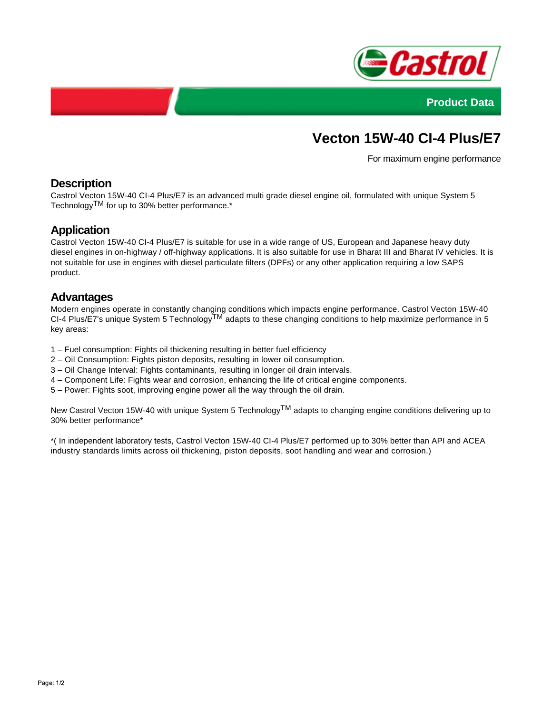



# **Vecton 15W-40 CI-4 Plus/E7**

For maximum engine performance

# **Description**

Castrol Vecton 15W-40 CI-4 Plus/E7 is an advanced multi grade diesel engine oil, formulated with unique System 5 TechnologyTM for up to 30% better performance.\*

# **Application**

Castrol Vecton 15W-40 CI-4 Plus/E7 is suitable for use in a wide range of US, European and Japanese heavy duty diesel engines in on-highway / off-highway applications. It is also suitable for use in Bharat III and Bharat IV vehicles. It is not suitable for use in engines with diesel particulate filters (DPFs) or any other application requiring a low SAPS product.

#### **Advantages**

Modern engines operate in constantly changing conditions which impacts engine performance. Castrol Vecton 15W-40 CI-4 Plus/E7's unique System 5 Technology $\overline{M}$  adapts to these changing conditions to help maximize performance in 5 key areas:

- 1 Fuel consumption: Fights oil thickening resulting in better fuel efficiency
- 2 Oil Consumption: Fights piston deposits, resulting in lower oil consumption.
- 3 Oil Change Interval: Fights contaminants, resulting in longer oil drain intervals.
- 4 Component Life: Fights wear and corrosion, enhancing the life of critical engine components.
- 5 Power: Fights soot, improving engine power all the way through the oil drain.

New Castrol Vecton 15W-40 with unique System 5 Technology<sup>TM</sup> adapts to changing engine conditions delivering up to 30% better performance\*

\*( In independent laboratory tests, Castrol Vecton 15W-40 CI-4 Plus/E7 performed up to 30% better than API and ACEA industry standards limits across oil thickening, piston deposits, soot handling and wear and corrosion.)